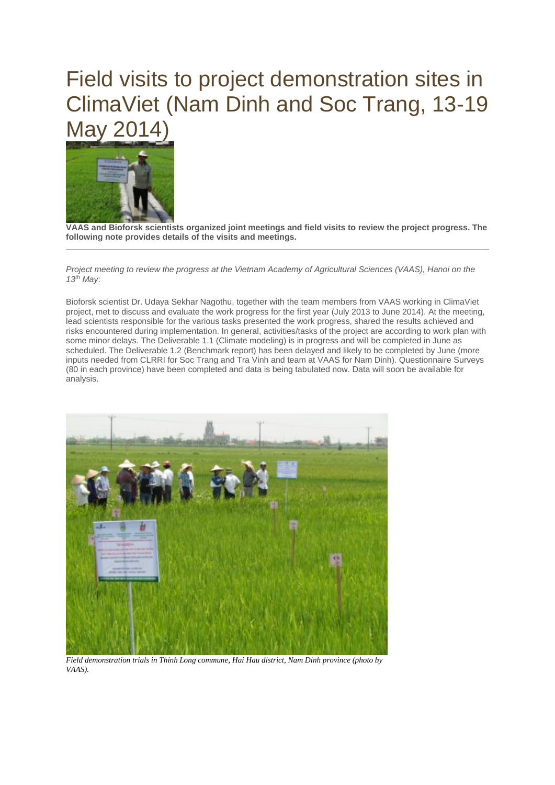## Field visits to project demonstration sites in ClimaViet (Nam Dinh and Soc Trang, 13-19 May 2014)



**VAAS and Bioforsk scientists organized joint meetings and field visits to review the project progress. The following note provides details of the visits and meetings.**

*Project meeting to review the progress at the Vietnam Academy of Agricultural Sciences (VAAS), Hanoi on the 13th May*:

Bioforsk scientist Dr. Udaya Sekhar Nagothu, together with the team members from VAAS working in ClimaViet project, met to discuss and evaluate the work progress for the first year (July 2013 to June 2014). At the meeting, lead scientists responsible for the various tasks presented the work progress, shared the results achieved and risks encountered during implementation. In general, activities/tasks of the project are according to work plan with some minor delays. The Deliverable 1.1 (Climate modeling) is in progress and will be completed in June as scheduled. The Deliverable 1.2 (Benchmark report) has been delayed and likely to be completed by June (more inputs needed from CLRRI for Soc Trang and Tra Vinh and team at VAAS for Nam Dinh). Questionnaire Surveys (80 in each province) have been completed and data is being tabulated now. Data will soon be available for analysis.



*Field demonstration trials in Thinh Long commune, Hai Hau district, Nam Dinh province (photo by VAAS).*